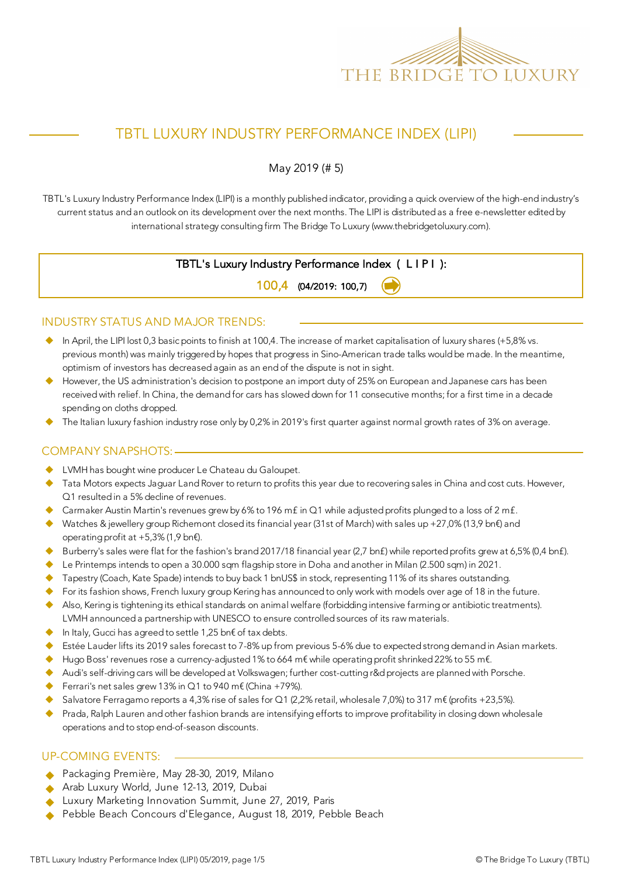

# TBTL LUXURY INDUSTRY PERFORMANCE INDEX (LIPI)

May 2019 (# 5)

TBTL's Luxury Industry Performance Index (LIPI) is a monthly published indicator, providing a quick overview of the high-end industry's current status and an outlook on its development over the next months. The LIPI is distributed as a free e-newsletter edited by international strategy consulting firm The Bridge To Luxury (www.thebridgetoluxury.com).

## TBTL's Luxury Industry Performance Index ( L I P I ):

100,4 (04/2019: 100,7)

#### INDUSTRY STATUS AND MAJOR TRENDS:

- $\bullet$  In April, the LIPI lost 0,3 basic points to finish at 100,4. The increase of market capitalisation of luxury shares (+5,8% vs. previous month) was mainly triggered by hopes that progress in Sino-American trade talks would be made. In the meantime, optimism of investors has decreased again as an end of the dispute is not in sight.
- However, the US administration's decision to postpone an import duty of 25% on European and Japanese cars has been received with relief. In China, the demand for cars has slowed down for 11 consecutive months; for a first time in a decade spending on cloths dropped.
- The Italian luxury fashion industry rose only by 0,2% in 2019's first quarter against normal growth rates of 3% on average.

## COMPANY SNAPSHOTS:

- LVMH has bought wine producer Le Chateau du Galoupet.
- Tata Motors expects Jaguar Land Rover to return to profits this year due to recovering sales in China and cost cuts. However, Q1 resulted in a 5% decline of revenues.
- Carmaker Austin Martin's revenues grew by 6% to 196 mf in Q1 while adjusted profits plunged to a loss of 2 mf.
- Watches & jewellery group Richemont closed its financial year (31st of March) with sales up +27,0% (13,9 bn€) and operating profit at +5,3% (1,9 bn€).
- Burberry's sales were flat for the fashion's brand 2017/18 financial year (2,7 bnf) while reported profits grew at 6,5% (0,4 bnf).
- $\blacklozenge$  Le Printemps intends to open a 30.000 sqm flagship store in Doha and another in Milan (2.500 sqm) in 2021.
- Tapestry (Coach, Kate Spade) intends to buy back 1 bnUS\$ in stock, representing 11% of its shares outstanding.
- For its fashion shows, French luxury group Kering has announced to only work with models over age of 18 in the future.
- u Also, Kering is tightening its ethical standards on animal welfare (forbidding intensive farming or antibiotic treatments). LVMH announced a partnership with UNESCO to ensure controlled sources of its raw materials.
- In Italy, Gucci has agreed to settle 1,25 bn€ of tax debts.
- Estée Lauder lifts its 2019 sales forecast to 7-8% up from previous 5-6% due to expected strong demand in Asian markets.
- Hugo Boss' revenues rose a currency-adjusted 1% to 664 m€ while operating profit shrinked 22% to 55 m€.
- Audi's self-driving cars will be developed at Volkswagen; further cost-cutting r&d projects are planned with Porsche.
- Ferrari's net sales grew 13% in  $Q1$  to 940 m€ (China +79%).
- u Salvatore Ferragamo reports a 4,3% rise of sales for Q1 (2,2% retail, wholesale 7,0%) to 317 m€ (profits +23,5%).
- Prada, Ralph Lauren and other fashion brands are intensifying efforts to improve profitability in closing down wholesale operations and to stop end-of-season discounts.

#### UP-COMING EVENTS:

- Packaging Première, May 28-30, 2019, Milano
- Arab Luxury World, June 12-13, 2019, Dubai
- Luxury Marketing Innovation Summit, June 27, 2019, Paris
- Pebble Beach Concours d'Elegance, August 18, 2019, Pebble Beach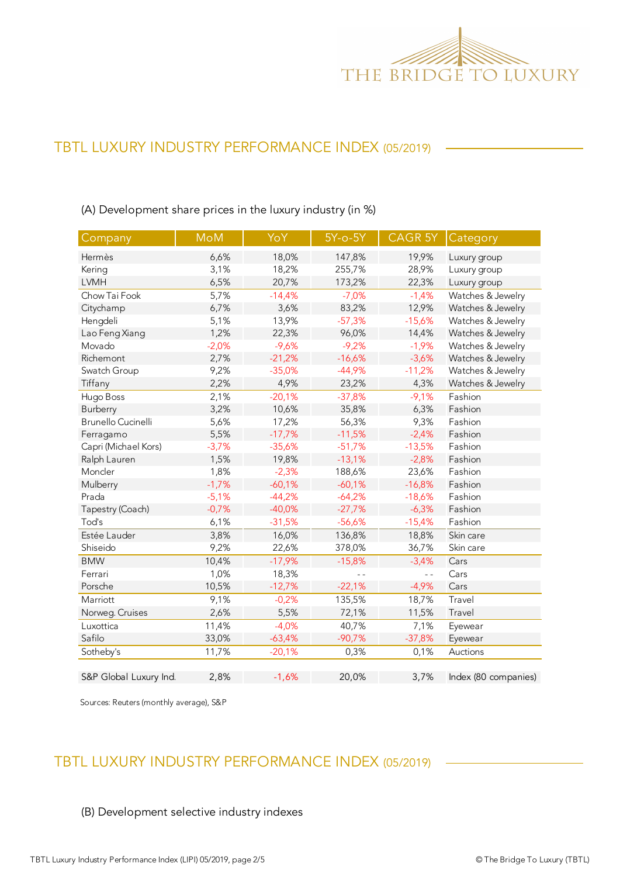

# TBTL LUXURY INDUSTRY PERFORMANCE INDEX (05/2019)

(A) Development share prices in the luxury industry (in %)

| Company                   | <b>MoM</b> | YoY      | $5Y$ -o- $5Y$ | CAGR 5Y  | Category             |
|---------------------------|------------|----------|---------------|----------|----------------------|
| Hermès                    | 6,6%       | 18,0%    | 147,8%        | 19,9%    | Luxury group         |
| Kering                    | 3,1%       | 18,2%    | 255,7%        | 28,9%    | Luxury group         |
| <b>LVMH</b>               | 6,5%       | 20,7%    | 173,2%        | 22,3%    | Luxury group         |
| Chow Tai Fook             | 5,7%       | $-14,4%$ | $-7,0%$       | $-1,4%$  | Watches & Jewelry    |
| Citychamp                 | 6,7%       | 3,6%     | 83,2%         | 12,9%    | Watches & Jewelry    |
| Hengdeli                  | 5,1%       | 13,9%    | $-57,3%$      | $-15,6%$ | Watches & Jewelry    |
| Lao Feng Xiang            | 1,2%       | 22,3%    | 96,0%         | 14,4%    | Watches & Jewelry    |
| Movado                    | $-2,0%$    | $-9,6%$  | $-9,2%$       | $-1,9%$  | Watches & Jewelry    |
| Richemont                 | 2,7%       | $-21,2%$ | $-16,6%$      | $-3,6%$  | Watches & Jewelry    |
| Swatch Group              | 9,2%       | $-35,0%$ | $-44,9%$      | $-11,2%$ | Watches & Jewelry    |
| Tiffany                   | 2,2%       | 4,9%     | 23,2%         | 4,3%     | Watches & Jewelry    |
| Hugo Boss                 | 2,1%       | $-20,1%$ | $-37,8%$      | $-9,1%$  | Fashion              |
| Burberry                  | 3,2%       | 10,6%    | 35,8%         | 6,3%     | Fashion              |
| <b>Brunello Cucinelli</b> | 5,6%       | 17,2%    | 56,3%         | 9,3%     | Fashion              |
| Ferragamo                 | 5,5%       | $-17,7%$ | $-11,5%$      | $-2,4%$  | Fashion              |
| Capri (Michael Kors)      | $-3,7%$    | $-35,6%$ | $-51,7%$      | $-13,5%$ | Fashion              |
| Ralph Lauren              | 1,5%       | 19,8%    | $-13,1%$      | $-2,8%$  | Fashion              |
| Moncler                   | 1,8%       | $-2,3%$  | 188,6%        | 23,6%    | Fashion              |
| Mulberry                  | $-1,7%$    | $-60,1%$ | $-60,1%$      | $-16,8%$ | Fashion              |
| Prada                     | $-5,1%$    | $-44,2%$ | $-64,2%$      | $-18,6%$ | Fashion              |
| Tapestry (Coach)          | $-0,7%$    | $-40,0%$ | $-27,7%$      | $-6,3%$  | Fashion              |
| Tod's                     | 6,1%       | $-31,5%$ | $-56,6%$      | $-15,4%$ | Fashion              |
| Estée Lauder              | 3,8%       | 16,0%    | 136,8%        | 18,8%    | Skin care            |
| Shiseido                  | 9,2%       | 22,6%    | 378,0%        | 36,7%    | Skin care            |
| <b>BMW</b>                | 10,4%      | $-17,9%$ | $-15,8%$      | $-3,4%$  | Cars                 |
| Ferrari                   | 1,0%       | 18,3%    | $ -$          | $ -$     | Cars                 |
| Porsche                   | 10,5%      | $-12,7%$ | $-22,1%$      | $-4,9%$  | Cars                 |
| Marriott                  | 9,1%       | $-0,2%$  | 135,5%        | 18,7%    | Travel               |
| Norweg. Cruises           | 2,6%       | 5,5%     | 72,1%         | 11,5%    | Travel               |
| Luxottica                 | 11,4%      | $-4,0%$  | 40,7%         | 7,1%     | Eyewear              |
| Safilo                    | 33,0%      | $-63,4%$ | $-90,7%$      | $-37,8%$ | Eyewear              |
| Sotheby's                 | 11,7%      | $-20,1%$ | 0,3%          | 0,1%     | Auctions             |
| S&P Global Luxury Ind.    | 2,8%       | $-1,6%$  | 20,0%         | 3,7%     | Index (80 companies) |

Sources: Reuters (monthly average), S&P

# TBTL LUXURY INDUSTRY PERFORMANCE INDEX (05/2019)

## (B) Development selective industry indexes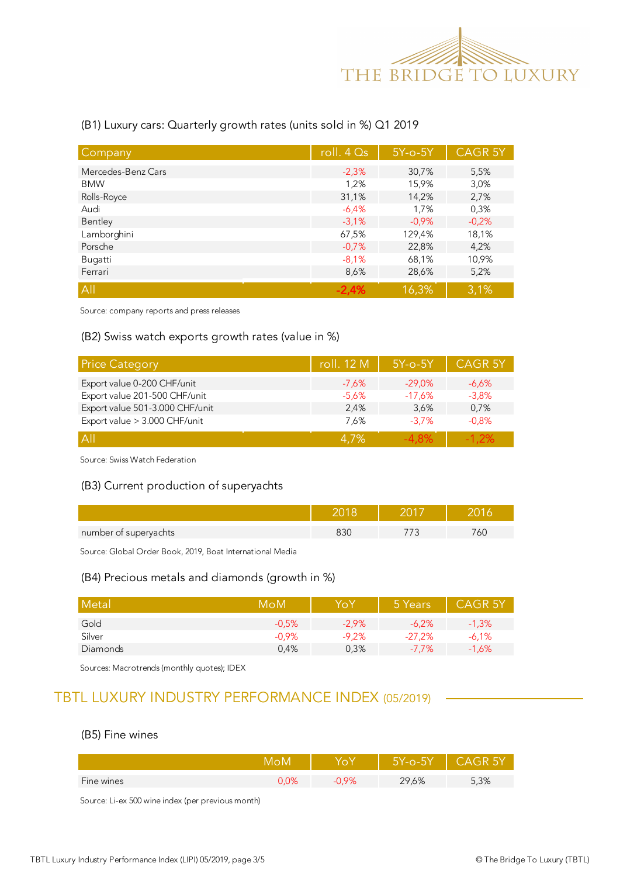

#### (B1) Luxury cars: Quarterly growth rates (units sold in %) Q1 2019

| Company            | roll. $4Qs$ | $5Y$ -o- $5Y$ | <b>CAGR 5Y</b> |
|--------------------|-------------|---------------|----------------|
| Mercedes-Benz Cars | $-2,3%$     | 30,7%         | 5,5%           |
| <b>BMW</b>         | 1,2%        | 15,9%         | 3,0%           |
| Rolls-Royce        | 31,1%       | 14,2%         | 2,7%           |
| Audi               | $-6.4%$     | 1,7%          | 0,3%           |
| Bentley            | $-3.1%$     | $-0.9%$       | $-0,2%$        |
| Lamborghini        | 67,5%       | 129,4%        | 18,1%          |
| Porsche            | $-0,7%$     | 22,8%         | 4,2%           |
| Bugatti            | $-8,1%$     | 68,1%         | 10,9%          |
| Ferrari            | 8,6%        | 28,6%         | 5,2%           |
| A                  | $-2.4%$     | 16,3%         | 3,1%           |

Source: company reports and press releases

#### (B2) Swiss watch exports growth rates (value in %)

| <b>Price Category</b>           | roll. 12 M | $5Y$ -o- $5Y$ | <b>CAGR 5Y</b> |
|---------------------------------|------------|---------------|----------------|
| Export value 0-200 CHF/unit     | $-7,6%$    | $-29.0\%$     | $-6.6\%$       |
| Export value 201-500 CHF/unit   | $-5.6\%$   | $-17,6%$      | $-3,8%$        |
| Export value 501-3.000 CHF/unit | 2.4%       | 3.6%          | 0,7%           |
| Export value > 3.000 CHF/unit   | 7.6%       | $-3.7%$       | $-0.8%$        |
| A                               | 4.7%       | -4.8%         | $-1.2\%$       |

Source: Swiss Watch Federation

#### (B3) Current production of superyachts

| number of superyachts |  | Οl |
|-----------------------|--|----|

Source: Global Order Book, 2019, Boat International Media

#### (B4) Precious metals and diamonds (growth in %)

| Metal    | MoM     |          | 5 Years  | <b>CAGR 5Y</b> |
|----------|---------|----------|----------|----------------|
| Gold     | $-0.5%$ | $-2.9\%$ | $-6.2\%$ | $-1,3%$        |
| Silver   | $-0.9%$ | $-9.2%$  | $-27.2%$ | $-6,1%$        |
| Diamonds | 0.4%    | 0,3%     | $-7.7\%$ | $-1,6%$        |

Sources: Macrotrends (monthly quotes); IDEX

# TBTL LUXURY INDUSTRY PERFORMANCE INDEX (05/2019)

#### (B5) Fine wines

|            |                  |              | Z-O-∑ |      |
|------------|------------------|--------------|-------|------|
| Fine wines | $\sim$<br>J,U /0 | OQ<br>U,Y 70 | 29,6% | 5,3% |

Source: Li-ex 500 wine index (per previous month)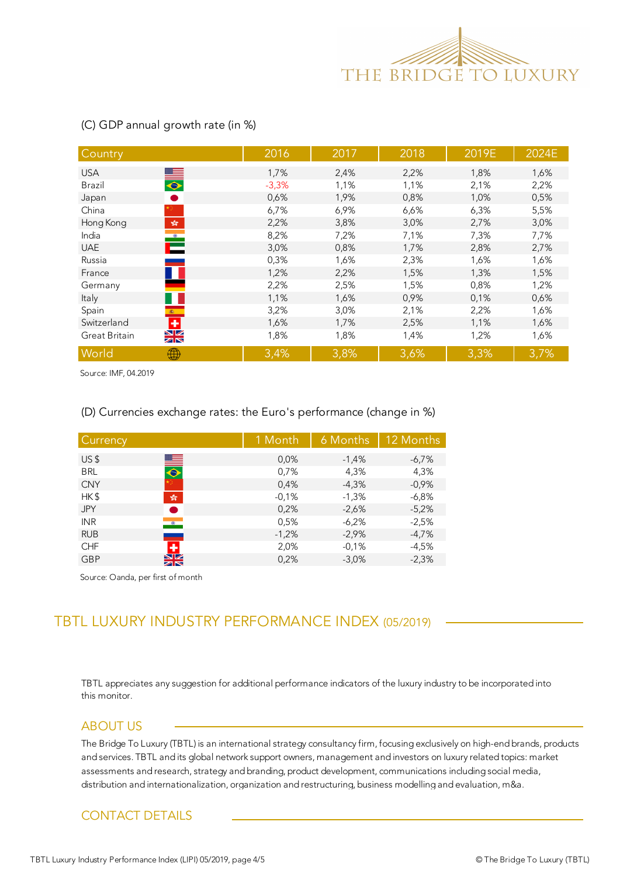

| Country                                                              | 2016    | 2017 | 2018 | 2019E | 2024E |
|----------------------------------------------------------------------|---------|------|------|-------|-------|
| <b>USA</b>                                                           | 1,7%    | 2,4% | 2,2% | 1,8%  | 1,6%  |
| $\bullet$<br><b>Brazil</b>                                           | $-3,3%$ | 1,1% | 1,1% | 2,1%  | 2,2%  |
| $\bullet$<br>Japan                                                   | 0,6%    | 1,9% | 0,8% | 1,0%  | 0,5%  |
| China                                                                | 6,7%    | 6,9% | 6,6% | 6,3%  | 5,5%  |
| $\mathcal{L}_{\mathcal{R}}^{\mathcal{S}_{\mathcal{R}}}$<br>Hong Kong | 2,2%    | 3,8% | 3,0% | 2,7%  | 3,0%  |
| $\bullet$<br>India                                                   | 8,2%    | 7,2% | 7,1% | 7,3%  | 7,7%  |
| Е<br><b>UAE</b>                                                      | 3,0%    | 0,8% | 1,7% | 2,8%  | 2,7%  |
| Russia                                                               | 0,3%    | 1,6% | 2,3% | 1,6%  | 1,6%  |
| France                                                               | 1,2%    | 2,2% | 1,5% | 1,3%  | 1,5%  |
| Germany                                                              | 2,2%    | 2,5% | 1,5% | 0,8%  | 1,2%  |
| Italy                                                                | 1,1%    | 1,6% | 0,9% | 0,1%  | 0,6%  |
| Spain<br>$\langle \hat{\mathbf{x}} \rangle$ .                        | 3,2%    | 3,0% | 2,1% | 2,2%  | 1,6%  |
| $\div$<br>Switzerland                                                | 1,6%    | 1,7% | 2,5% | 1,1%  | 1,6%  |
| $\frac{N}{N}$<br>Great Britain                                       | 1,8%    | 1,8% | 1,4% | 1,2%  | 1,6%  |
| World<br>₩                                                           | 3,4%    | 3,8% | 3,6% | 3,3%  | 3,7%  |

#### (C) GDP annual growth rate (in %)

Source: IMF, 04.2019

#### (D) Currencies exchange rates: the Euro's performance (change in %)

| Currency        |                      | 1 Month | 6 Months | 12 Months |
|-----------------|----------------------|---------|----------|-----------|
| US <sub>5</sub> | ▀                    | 0,0%    | $-1,4%$  | $-6.7%$   |
| <b>BRL</b>      | $\overline{\bullet}$ | 0,7%    | 4,3%     | 4,3%      |
| <b>CNY</b>      |                      | 0,4%    | $-4,3%$  | $-0,9%$   |
| HK\$            | $\frac{1}{2}$        | $-0,1%$ | $-1,3%$  | $-6,8%$   |
| <b>JPY</b>      |                      | 0.2%    | $-2,6%$  | $-5,2%$   |
| <b>INR</b>      | $\bullet$            | 0,5%    | $-6,2%$  | $-2.5%$   |
| <b>RUB</b>      |                      | $-1,2%$ | $-2,9%$  | $-4,7%$   |
| <b>CHF</b>      | ٠                    | 2,0%    | $-0.1%$  | $-4,5%$   |
| <b>GBP</b>      | NZ                   | 0,2%    | $-3,0%$  | $-2,3%$   |

Source: Oanda, per first of month

# TBTL LUXURY INDUSTRY PERFORMANCE INDEX (05/2019)

this monitor. TBTL appreciates any suggestion for additional performance indicators of the luxury industry to be incorporated into

#### ABOUT US

The Bridge To Luxury (TBTL) is an international strategy consultancy firm, focusing exclusively on high-end brands, products and services. TBTL and its global network support owners, management and investors on luxury related topics: market assessments and research, strategy and branding, product development, communications including social media, distribution and internationalization, organization and restructuring, business modelling and evaluation, m&a.

### CONTACT DETAILS